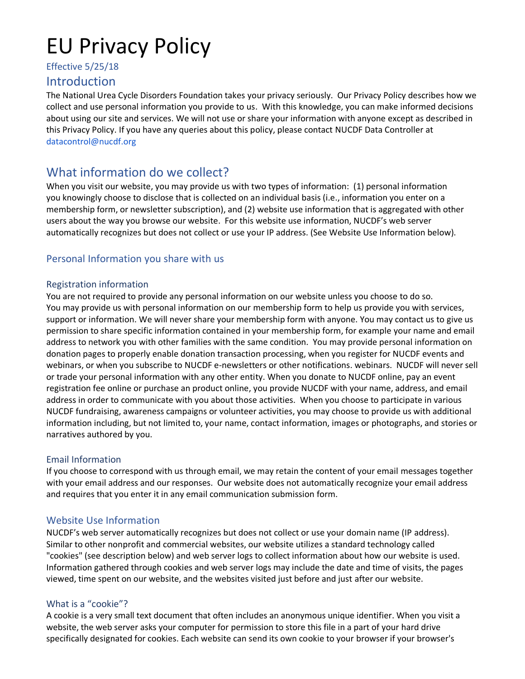# EU Privacy Policy

# Effective 5/25/18

# Introduction

The National Urea Cycle Disorders Foundation takes your privacy seriously. Our Privacy Policy describes how we collect and use personal information you provide to us. With this knowledge, you can make informed decisions about using our site and services. We will not use or share your information with anyone except as described in this Privacy Policy. If you have any queries about this policy, please contact NUCDF Data Controller at datacontrol@nucdf.org

# What information do we collect?

When you visit our website, you may provide us with two types of information: (1) personal information you knowingly choose to disclose that is collected on an individual basis (i.e., information you enter on a membership form, or newsletter subscription), and (2) website use information that is aggregated with other users about the way you browse our website. For this website use information, NUCDF's web server automatically recognizes but does not collect or use your IP address. (See Website Use Information below).

# Personal Information you share with us

## Registration information

You are not required to provide any personal information on our website unless you choose to do so. You may provide us with personal information on our membership form to help us provide you with services, support or information. We will never share your membership form with anyone. You may contact us to give us permission to share specific information contained in your membership form, for example your name and email address to network you with other families with the same condition. You may provide personal information on donation pages to properly enable donation transaction processing, when you register for NUCDF events and webinars, or when you subscribe to NUCDF e-newsletters or other notifications. webinars. NUCDF will never sell or trade your personal information with any other entity. When you donate to NUCDF online, pay an event registration fee online or purchase an product online, you provide NUCDF with your name, address, and email address in order to communicate with you about those activities. When you choose to participate in various NUCDF fundraising, awareness campaigns or volunteer activities, you may choose to provide us with additional information including, but not limited to, your name, contact information, images or photographs, and stories or narratives authored by you.

## Email Information

If you choose to correspond with us through email, we may retain the content of your email messages together with your email address and our responses. Our website does not automatically recognize your email address and requires that you enter it in any email communication submission form.

# Website Use Information

NUCDF's web server automatically recognizes but does not collect or use your domain name (IP address). Similar to other nonprofit and commercial websites, our website utilizes a standard technology called "cookies" (see description below) and web server logs to collect information about how our website is used. Information gathered through cookies and web server logs may include the date and time of visits, the pages viewed, time spent on our website, and the websites visited just before and just after our website.

## What is a "cookie"?

A cookie is a very small text document that often includes an anonymous unique identifier. When you visit a website, the web server asks your computer for permission to store this file in a part of your hard drive specifically designated for cookies. Each website can send its own cookie to your browser if your browser's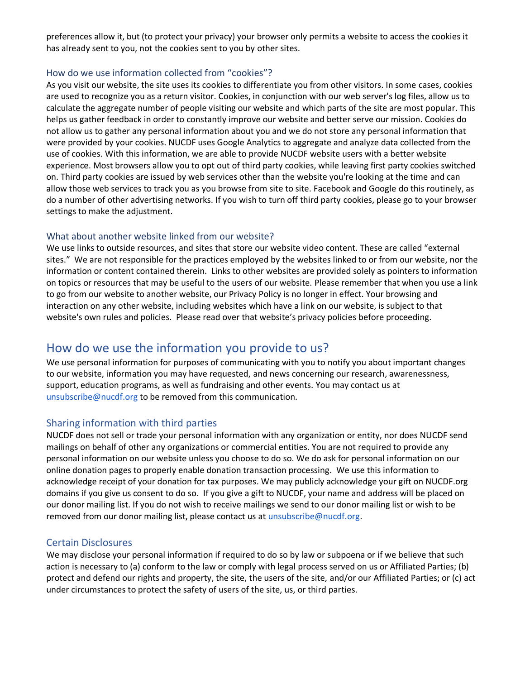preferences allow it, but (to protect your privacy) your browser only permits a website to access the cookies it has already sent to you, not the cookies sent to you by other sites.

#### How do we use information collected from "cookies"?

As you visit our website, the site uses its cookies to differentiate you from other visitors. In some cases, cookies are used to recognize you as a return visitor. Cookies, in conjunction with our web server's log files, allow us to calculate the aggregate number of people visiting our website and which parts of the site are most popular. This helps us gather feedback in order to constantly improve our website and better serve our mission. Cookies do not allow us to gather any personal information about you and we do not store any personal information that were provided by your cookies. NUCDF uses Google Analytics to aggregate and analyze data collected from the use of cookies. With this information, we are able to provide NUCDF website users with a better website experience. Most browsers allow you to opt out of third party cookies, while leaving first party cookies switched on. Third party cookies are issued by web services other than the website you're looking at the time and can allow those web services to track you as you browse from site to site. Facebook and Google do this routinely, as do a number of other advertising networks. If you wish to turn off third party cookies, please go to your browser settings to make the adjustment.

#### What about another website linked from our website?

We use links to outside resources, and sites that store our website video content. These are called "external sites." We are not responsible for the practices employed by the websites linked to or from our website, nor the information or content contained therein. Links to other websites are provided solely as pointers to information on topics or resources that may be useful to the users of our website. Please remember that when you use a link to go from our website to another website, our Privacy Policy is no longer in effect. Your browsing and interaction on any other website, including websites which have a link on our website, is subject to that website's own rules and policies. Please read over that website's privacy policies before proceeding.

# How do we use the information you provide to us?

We use personal information for purposes of communicating with you to notify you about important changes to our website, information you may have requested, and news concerning our research, awarenessness, support, education programs, as well as fundraising and other events. You may contact us at unsubscribe@nucdf.org to be removed from this communication.

#### Sharing information with third parties

NUCDF does not sell or trade your personal information with any organization or entity, nor does NUCDF send mailings on behalf of other any organizations or commercial entities. You are not required to provide any personal information on our website unless you choose to do so. We do ask for personal information on our online donation pages to properly enable donation transaction processing. We use this information to acknowledge receipt of your donation for tax purposes. We may publicly acknowledge your gift on NUCDF.org domains if you give us consent to do so. If you give a gift to NUCDF, your name and address will be placed on our donor mailing list. If you do not wish to receive mailings we send to our donor mailing list or wish to be removed from our donor mailing list, please contact us at unsubscribe@nucdf.org.

#### Certain Disclosures

We may disclose your personal information if required to do so by law or subpoena or if we believe that such action is necessary to (a) conform to the law or comply with legal process served on us or Affiliated Parties; (b) protect and defend our rights and property, the site, the users of the site, and/or our Affiliated Parties; or (c) act under circumstances to protect the safety of users of the site, us, or third parties.